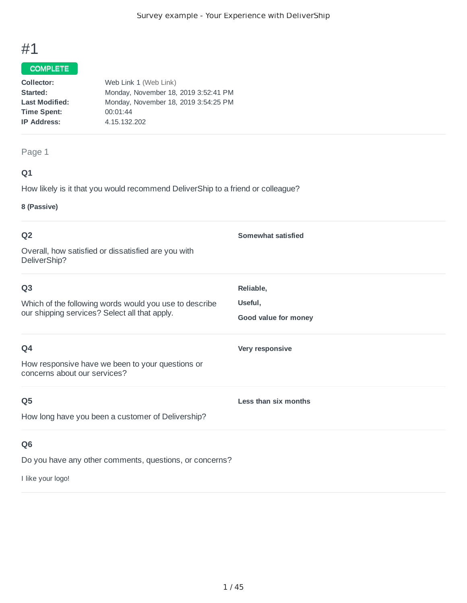### **COMPLETE**

| Collector:            | Web Link 1 (Web Link)                |
|-----------------------|--------------------------------------|
| Started:              | Monday, November 18, 2019 3:52:41 PM |
| <b>Last Modified:</b> | Monday, November 18, 2019 3:54:25 PM |
| <b>Time Spent:</b>    | 00:01:44                             |
| <b>IP Address:</b>    | 4.15.132.202                         |
|                       |                                      |

### Page 1

### **Q1**

How likely is it that you would recommend DeliverShip to a friend or colleague?

#### **8 (Passive)**

| Q <sub>2</sub>                                                                                                            | Somewhat satisfied                           |
|---------------------------------------------------------------------------------------------------------------------------|----------------------------------------------|
| Overall, how satisfied or dissatisfied are you with<br>DeliverShip?                                                       |                                              |
| Q <sub>3</sub><br>Which of the following words would you use to describe<br>our shipping services? Select all that apply. | Reliable,<br>Useful,<br>Good value for money |
| Q4<br>How responsive have we been to your questions or<br>concerns about our services?                                    | Very responsive                              |
| Q <sub>5</sub><br>How long have you been a customer of Delivership?                                                       | Less than six months                         |
| Q <sub>6</sub>                                                                                                            |                                              |

Do you have any other comments, questions, or concerns?

I like your logo!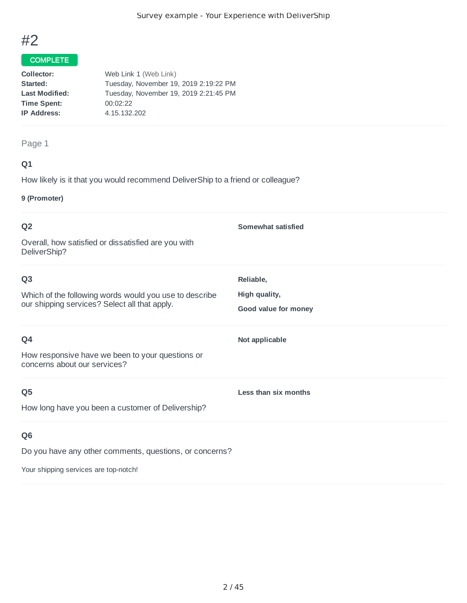

### **COMPLETE**

| Collector:            | Web Link 1 (Web Link)                 |
|-----------------------|---------------------------------------|
| Started:              | Tuesday, November 19, 2019 2:19:22 PM |
| <b>Last Modified:</b> | Tuesday, November 19, 2019 2:21:45 PM |
| <b>Time Spent:</b>    | 00:02:22                              |
| <b>IP Address:</b>    | 4.15.132.202                          |
|                       |                                       |

### Page 1

### **Q1**

How likely is it that you would recommend DeliverShip to a friend or colleague?

### **9 (Promoter)**

| Q <sub>2</sub>                                                                                                            | Somewhat satisfied                                 |
|---------------------------------------------------------------------------------------------------------------------------|----------------------------------------------------|
| Overall, how satisfied or dissatisfied are you with<br>DeliverShip?                                                       |                                                    |
| Q <sub>3</sub><br>Which of the following words would you use to describe<br>our shipping services? Select all that apply. | Reliable,<br>High quality,<br>Good value for money |
| Q4<br>How responsive have we been to your questions or<br>concerns about our services?                                    | Not applicable                                     |
| Q <sub>5</sub><br>How long have you been a customer of Delivership?                                                       | Less than six months                               |
| Q <sub>6</sub><br>Do you have any other comments, questions, or concerns?                                                 |                                                    |

Your shipping services are top-notch!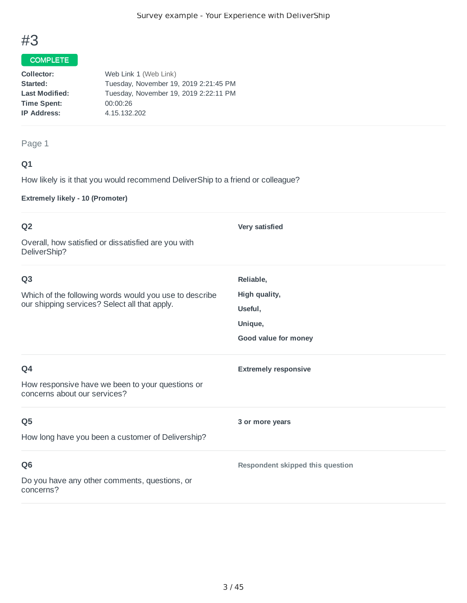### **COMPLETE**

| Collector:            | Web Link 1 (Web Link)                 |
|-----------------------|---------------------------------------|
| Started:              | Tuesday, November 19, 2019 2:21:45 PM |
| <b>Last Modified:</b> | Tuesday, November 19, 2019 2:22:11 PM |
| <b>Time Spent:</b>    | 00:00:26                              |
| <b>IP Address:</b>    | 4.15.132.202                          |
|                       |                                       |

### Page 1

### **Q1**

How likely is it that you would recommend DeliverShip to a friend or colleague?

**Extremely likely - 10 (Promoter)**

| Q <sub>2</sub>                                                                   | Very satisfied                   |
|----------------------------------------------------------------------------------|----------------------------------|
| Overall, how satisfied or dissatisfied are you with<br>DeliverShip?              |                                  |
| Q <sub>3</sub>                                                                   | Reliable,                        |
| Which of the following words would you use to describe                           | High quality,                    |
| our shipping services? Select all that apply.                                    | Useful,                          |
|                                                                                  | Unique,                          |
|                                                                                  | Good value for money             |
| Q4                                                                               | <b>Extremely responsive</b>      |
| How responsive have we been to your questions or<br>concerns about our services? |                                  |
| Q <sub>5</sub>                                                                   | 3 or more years                  |
| How long have you been a customer of Delivership?                                |                                  |
| Q <sub>6</sub>                                                                   | Respondent skipped this question |
| Do you have any other comments, questions, or<br>concerns?                       |                                  |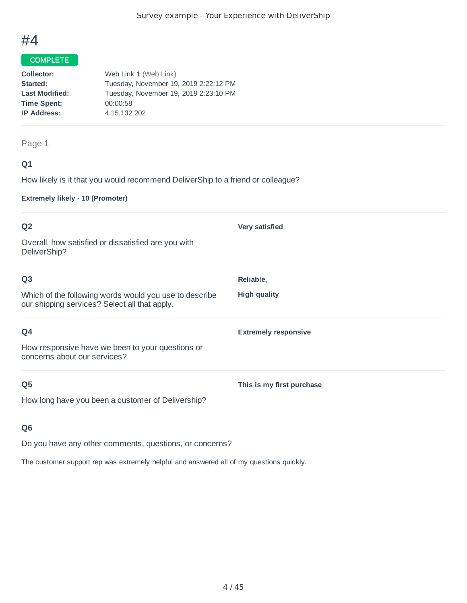### **COMPLETE**

| Collector:            | Web Link 1 (Web Link)                 |
|-----------------------|---------------------------------------|
| Started:              | Tuesday, November 19, 2019 2:22:12 PM |
| <b>Last Modified:</b> | Tuesday, November 19, 2019 2:23:10 PM |
| <b>Time Spent:</b>    | 00:00:58                              |
| <b>IP Address:</b>    | 4.15.132.202                          |
|                       |                                       |

### Page 1

### **Q1**

How likely is it that you would recommend DeliverShip to a friend or colleague?

**Extremely likely - 10 (Promoter)**

| Q <sub>2</sub><br>Overall, how satisfied or dissatisfied are you with<br>DeliverShip?                                     | <b>Very satisfied</b>            |
|---------------------------------------------------------------------------------------------------------------------------|----------------------------------|
| Q <sub>3</sub><br>Which of the following words would you use to describe<br>our shipping services? Select all that apply. | Reliable,<br><b>High quality</b> |
| Q4<br>How responsive have we been to your questions or<br>concerns about our services?                                    | <b>Extremely responsive</b>      |
| Q <sub>5</sub><br>How long have you been a customer of Delivership?                                                       | This is my first purchase        |

### **Q6**

Do you have any other comments, questions, or concerns?

The customer support rep was extremely helpful and answered all of my questions quickly.